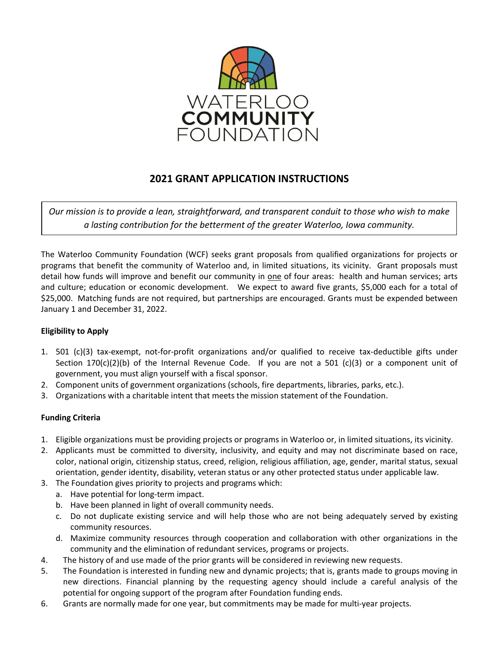

# **2021 GRANT APPLICATION INSTRUCTIONS**

*Our mission is to provide a lean, straightforward, and transparent conduit to those who wish to make a lasting contribution for the betterment of the greater Waterloo, Iowa community.*

The Waterloo Community Foundation (WCF) seeks grant proposals from qualified organizations for projects or programs that benefit the community of Waterloo and, in limited situations, its vicinity. Grant proposals must detail how funds will improve and benefit our community in one of four areas: health and human services; arts and culture; education or economic development. We expect to award five grants, \$5,000 each for a total of \$25,000. Matching funds are not required, but partnerships are encouraged. Grants must be expended between January 1 and December 31, 2022.

## **Eligibility to Apply**

- 1. 501 (c)(3) tax-exempt, not-for-profit organizations and/or qualified to receive tax-deductible gifts under Section  $170(c)(2)(b)$  of the Internal Revenue Code. If you are not a 501 (c)(3) or a component unit of government, you must align yourself with a fiscal sponsor.
- 2. Component units of government organizations (schools, fire departments, libraries, parks, etc.).
- 3. Organizations with a charitable intent that meets the mission statement of the Foundation.

## **Funding Criteria**

- 1. Eligible organizations must be providing projects or programs in Waterloo or, in limited situations, its vicinity.
- 2. Applicants must be committed to diversity, inclusivity, and equity and may not discriminate based on race, color, national origin, citizenship status, creed, religion, religious affiliation, age, gender, marital status, sexual orientation, gender identity, disability, veteran status or any other protected status under applicable law.
- 3. The Foundation gives priority to projects and programs which:
	- a. Have potential for long-term impact.
	- b. Have been planned in light of overall community needs.
	- c. Do not duplicate existing service and will help those who are not being adequately served by existing community resources.
	- d. Maximize community resources through cooperation and collaboration with other organizations in the community and the elimination of redundant services, programs or projects.
- 4. The history of and use made of the prior grants will be considered in reviewing new requests.
- 5. The Foundation is interested in funding new and dynamic projects; that is, grants made to groups moving in new directions. Financial planning by the requesting agency should include a careful analysis of the potential for ongoing support of the program after Foundation funding ends.
- 6. Grants are normally made for one year, but commitments may be made for multi-year projects.